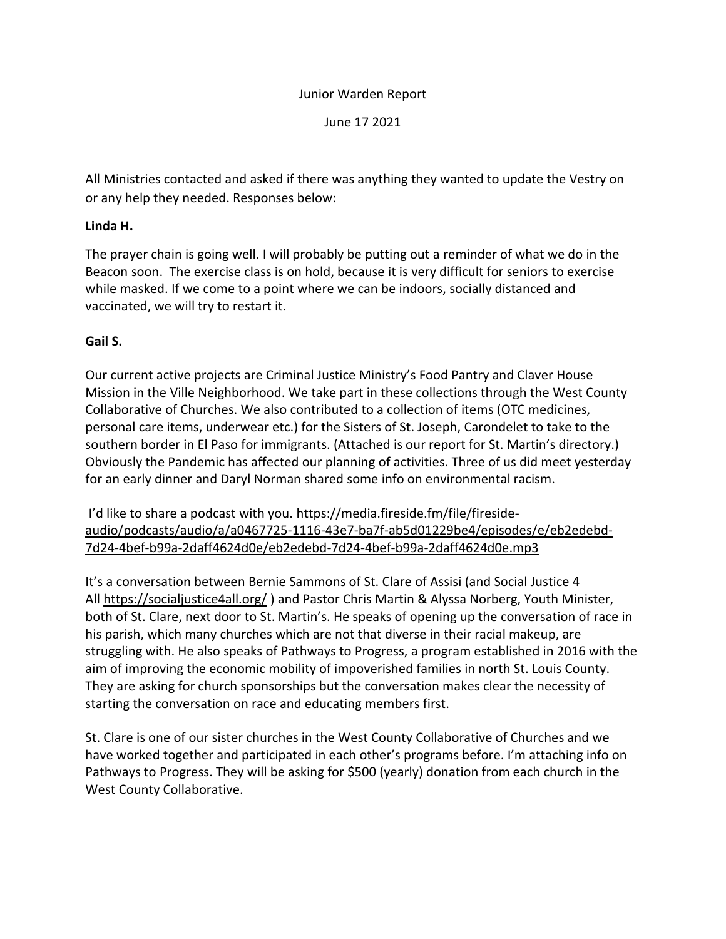# Junior Warden Report

June 17 2021

All Ministries contacted and asked if there was anything they wanted to update the Vestry on or any help they needed. Responses below:

### **Linda H.**

The prayer chain is going well. I will probably be putting out a reminder of what we do in the Beacon soon. The exercise class is on hold, because it is very difficult for seniors to exercise while masked. If we come to a point where we can be indoors, socially distanced and vaccinated, we will try to restart it.

## **Gail S.**

Our current active projects are Criminal Justice Ministry's Food Pantry and Claver House Mission in the Ville Neighborhood. We take part in these collections through the West County Collaborative of Churches. We also contributed to a collection of items (OTC medicines, personal care items, underwear etc.) for the Sisters of St. Joseph, Carondelet to take to the southern border in El Paso for immigrants. (Attached is our report for St. Martin's directory.) Obviously the Pandemic has affected our planning of activities. Three of us did meet yesterday for an early dinner and Daryl Norman shared some info on environmental racism.

I'd like to share a podcast with you. [https://media.fireside.fm/file/fireside](https://media.fireside.fm/file/fireside-audio/podcasts/audio/a/a0467725-1116-43e7-ba7f-ab5d01229be4/episodes/e/eb2edebd-7d24-4bef-b99a-2daff4624d0e/eb2edebd-7d24-4bef-b99a-2daff4624d0e.mp3)[audio/podcasts/audio/a/a0467725-1116-43e7-ba7f-ab5d01229be4/episodes/e/eb2edebd-](https://media.fireside.fm/file/fireside-audio/podcasts/audio/a/a0467725-1116-43e7-ba7f-ab5d01229be4/episodes/e/eb2edebd-7d24-4bef-b99a-2daff4624d0e/eb2edebd-7d24-4bef-b99a-2daff4624d0e.mp3)[7d24-4bef-b99a-2daff4624d0e/eb2edebd-7d24-4bef-b99a-2daff4624d0e.mp3](https://media.fireside.fm/file/fireside-audio/podcasts/audio/a/a0467725-1116-43e7-ba7f-ab5d01229be4/episodes/e/eb2edebd-7d24-4bef-b99a-2daff4624d0e/eb2edebd-7d24-4bef-b99a-2daff4624d0e.mp3)

It's a conversation between Bernie Sammons of St. Clare of Assisi (and Social Justice 4 All <https://socialjustice4all.org/>) and Pastor Chris Martin & Alyssa Norberg, Youth Minister, both of St. Clare, next door to St. Martin's. He speaks of opening up the conversation of race in his parish, which many churches which are not that diverse in their racial makeup, are struggling with. He also speaks of Pathways to Progress, a program established in 2016 with the aim of improving the economic mobility of impoverished families in north St. Louis County. They are asking for church sponsorships but the conversation makes clear the necessity of starting the conversation on race and educating members first.

St. Clare is one of our sister churches in the West County Collaborative of Churches and we have worked together and participated in each other's programs before. I'm attaching info on Pathways to Progress. They will be asking for \$500 (yearly) donation from each church in the West County Collaborative.